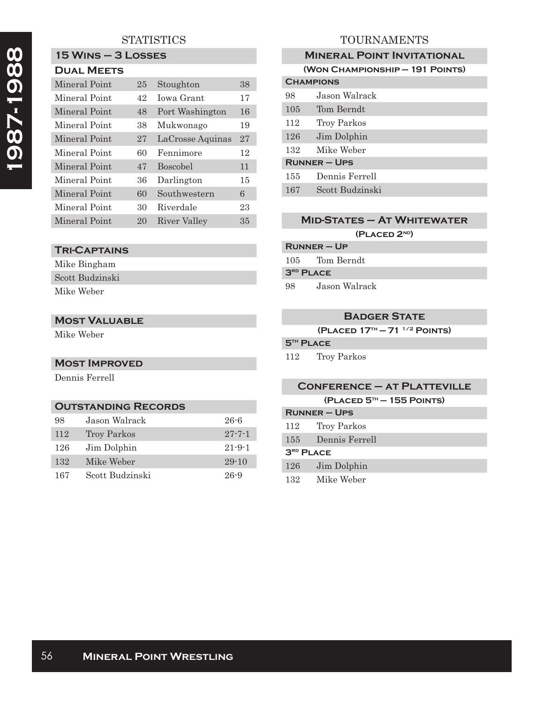# **1987-1988**  1987-1988

## **STATISTICS**

# **15 Wins – 3 Losses**

| <b>DUAL MEETS</b> |
|-------------------|
|                   |

| Mineral Point | 25 | Stoughton        | 38 |
|---------------|----|------------------|----|
| Mineral Point | 42 | Jowa Grant       | 17 |
| Mineral Point | 48 | Port Washington  | 16 |
| Mineral Point | 38 | Mukwonago        | 19 |
| Mineral Point | 27 | LaCrosse Aquinas | 27 |
| Mineral Point | 60 | Fennimore        | 12 |
| Mineral Point | 47 | <b>Boscobel</b>  | 11 |
| Mineral Point | 36 | Darlington       | 15 |
| Mineral Point | 60 | Southwestern     | 6  |
| Mineral Point | 30 | Riverdale        | 23 |
| Mineral Point | 20 | River Valley     | 35 |

### **Tri-Captains**

Mike Bingham Scott Budzinski Mike Weber

#### **Most Valuable**

Mike Weber

#### **Most Improved**

Dennis Ferrell

#### **Outstanding Records**

| 98  | Jason Walrack      | $26 - 6$     |
|-----|--------------------|--------------|
| 112 | <b>Troy Parkos</b> | $27 - 7 - 1$ |
| 126 | Jim Dolphin        | $21 - 9 - 1$ |
| 132 | Mike Weber         | $29 - 10$    |
| 167 | Scott Budzinski    | $26 - 9$     |

## TOURNAMENTS

|                     | <b>MINERAL POINT INVITATIONAL</b> |
|---------------------|-----------------------------------|
|                     | (WON CHAMPIONSHIP - 191 POINTS)   |
| <b>CHAMPIONS</b>    |                                   |
| 98                  | Jason Walrack                     |
| 105                 | Tom Berndt                        |
| 112                 | Troy Parkos                       |
| 126                 | Jim Dolphin                       |
| 132                 | Mike Weber                        |
| <b>RUNNER – UPS</b> |                                   |
| 155                 | Dennis Ferrell                    |
| 167                 | Scott Budzinski                   |

## **Mid-States – At Whitewater**

#### **(Placed 2nd)**

| <b>RUNNER - UP</b> |            |  |
|--------------------|------------|--|
| 105.               | Tom Berndt |  |
| $3RD$ PLACE        |            |  |

98 Jason Walrack

#### **Badger State**

**(Placed 17th — 71 1/2 Points)**

## **5th Place**

112 Troy Parkos

#### **Conference – at Platteville**

**(Placed 5th — 155 Points)**

| <b>RUNNER – UPS</b>   |                |
|-----------------------|----------------|
| 112                   | Troy Parkos    |
| $155\,$               | Dennis Ferrell |
| 3 <sup>RD</sup> PLACE |                |
| $126\,$               | Jim Dolphin    |
| 132                   | Mike Weber     |